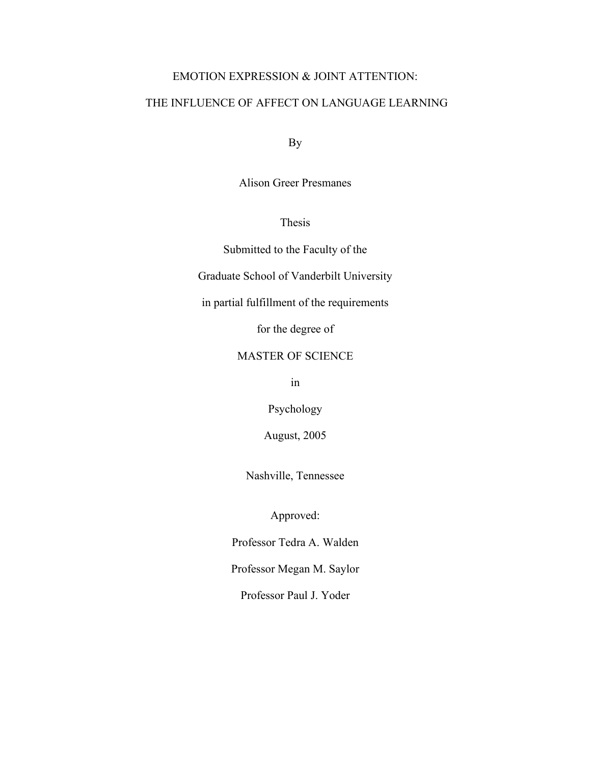# EMOTION EXPRESSION & JOINT ATTENTION:

# THE INFLUENCE OF AFFECT ON LANGUAGE LEARNING

By

Alison Greer Presmanes

Thesis

Submitted to the Faculty of the

Graduate School of Vanderbilt University

in partial fulfillment of the requirements

for the degree of

# MASTER OF SCIENCE

in

Psychology

August, 2005

Nashville, Tennessee

Approved:

Professor Tedra A. Walden

Professor Megan M. Saylor

Professor Paul J. Yoder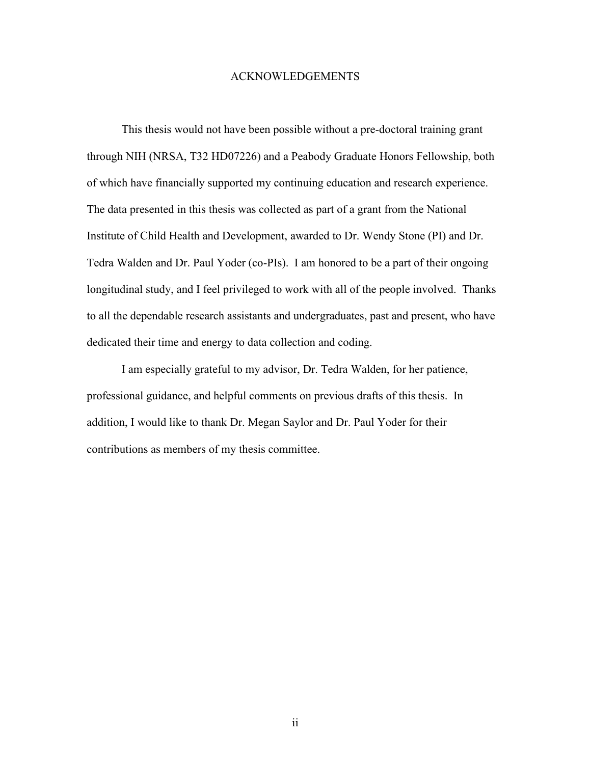#### ACKNOWLEDGEMENTS

This thesis would not have been possible without a pre-doctoral training grant through NIH (NRSA, T32 HD07226) and a Peabody Graduate Honors Fellowship, both of which have financially supported my continuing education and research experience. The data presented in this thesis was collected as part of a grant from the National Institute of Child Health and Development, awarded to Dr. Wendy Stone (PI) and Dr. Tedra Walden and Dr. Paul Yoder (co-PIs). I am honored to be a part of their ongoing longitudinal study, and I feel privileged to work with all of the people involved. Thanks to all the dependable research assistants and undergraduates, past and present, who have dedicated their time and energy to data collection and coding.

I am especially grateful to my advisor, Dr. Tedra Walden, for her patience, professional guidance, and helpful comments on previous drafts of this thesis. In addition, I would like to thank Dr. Megan Saylor and Dr. Paul Yoder for their contributions as members of my thesis committee.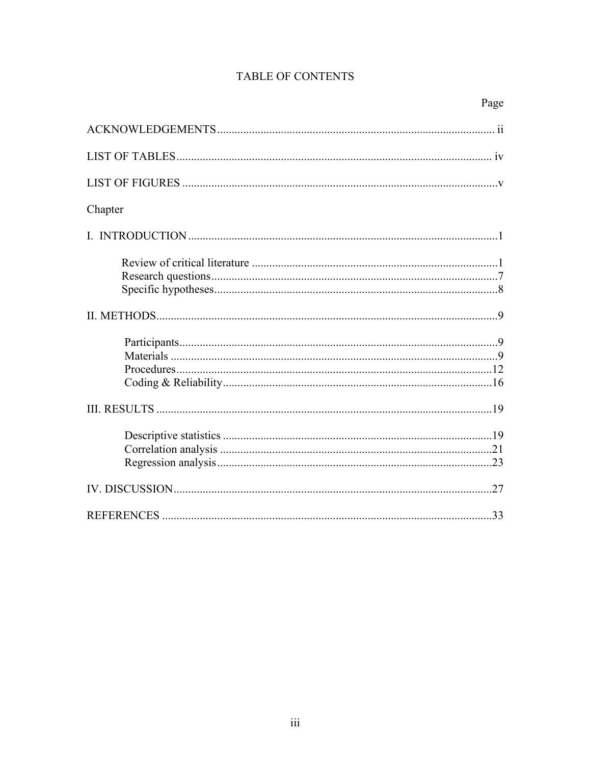# TABLE OF CONTENTS

| Chapter |  |
|---------|--|
|         |  |
|         |  |
|         |  |
|         |  |
|         |  |
|         |  |
|         |  |
|         |  |
|         |  |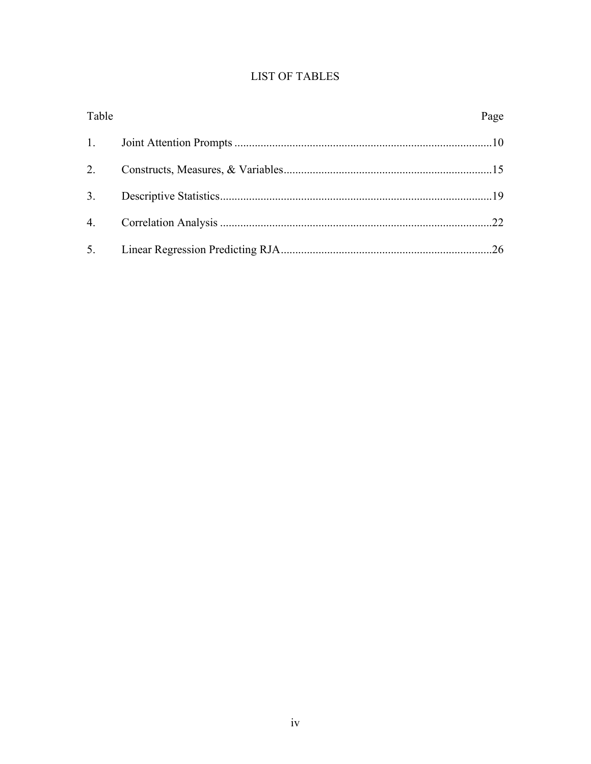# **LIST OF TABLES**

| Table | Page |
|-------|------|
| 1.    |      |
| 2.    |      |
| 3.    |      |
|       |      |
|       |      |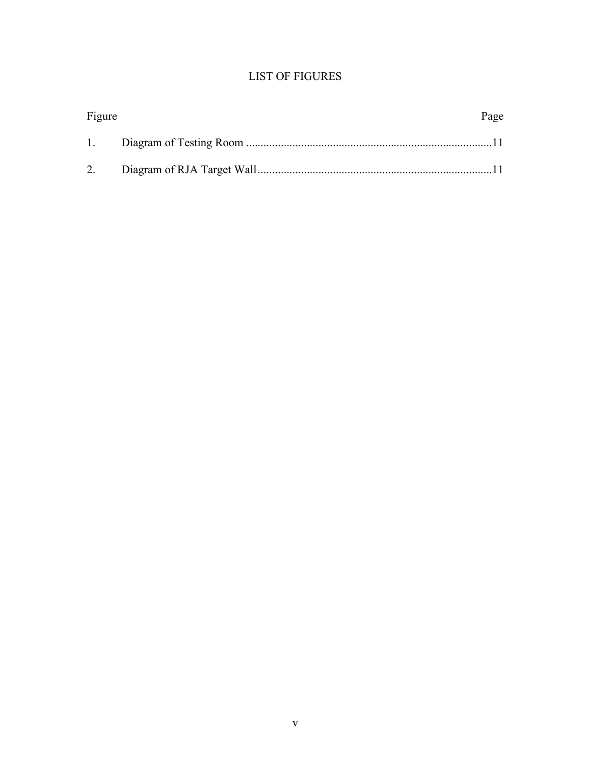# LIST OF FIGURES

| Figure | Page |
|--------|------|
|        |      |
|        |      |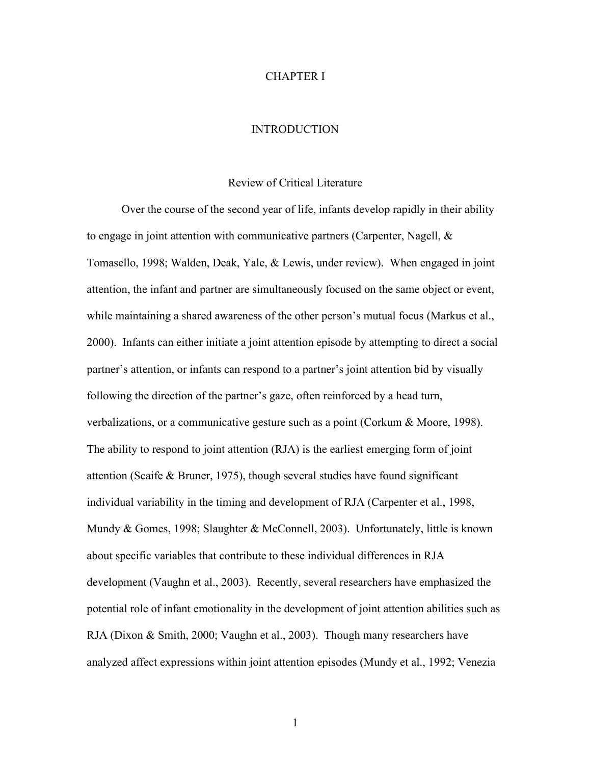#### CHAPTER I

#### **INTRODUCTION**

#### Review of Critical Literature

Over the course of the second year of life, infants develop rapidly in their ability to engage in joint attention with communicative partners (Carpenter, Nagell,  $\&$ Tomasello, 1998; Walden, Deak, Yale, & Lewis, under review). When engaged in joint attention, the infant and partner are simultaneously focused on the same object or event, while maintaining a shared awareness of the other person's mutual focus (Markus et al., 2000). Infants can either initiate a joint attention episode by attempting to direct a social partner's attention, or infants can respond to a partner's joint attention bid by visually following the direction of the partner's gaze, often reinforced by a head turn, verbalizations, or a communicative gesture such as a point (Corkum & Moore, 1998). The ability to respond to joint attention (RJA) is the earliest emerging form of joint attention (Scaife & Bruner, 1975), though several studies have found significant individual variability in the timing and development of RJA (Carpenter et al., 1998, Mundy & Gomes, 1998; Slaughter & McConnell, 2003). Unfortunately, little is known about specific variables that contribute to these individual differences in RJA development (Vaughn et al., 2003). Recently, several researchers have emphasized the potential role of infant emotionality in the development of joint attention abilities such as RJA (Dixon & Smith, 2000; Vaughn et al., 2003). Though many researchers have analyzed affect expressions within joint attention episodes (Mundy et al., 1992; Venezia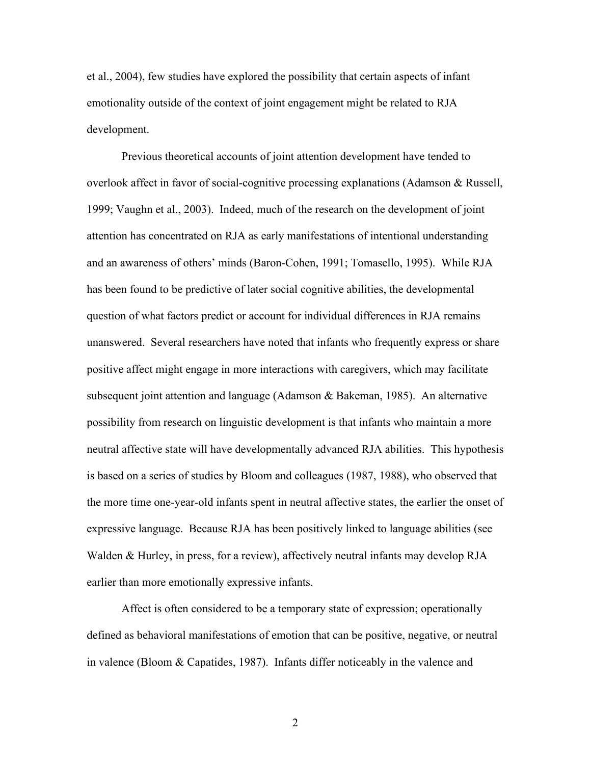et al., 2004), few studies have explored the possibility that certain aspects of infant emotionality outside of the context of joint engagement might be related to RJA development.

Previous theoretical accounts of joint attention development have tended to overlook affect in favor of social-cognitive processing explanations (Adamson & Russell, 1999; Vaughn et al., 2003). Indeed, much of the research on the development of joint attention has concentrated on RJA as early manifestations of intentional understanding and an awareness of others' minds (Baron-Cohen, 1991; Tomasello, 1995). While RJA has been found to be predictive of later social cognitive abilities, the developmental question of what factors predict or account for individual differences in RJA remains unanswered. Several researchers have noted that infants who frequently express or share positive affect might engage in more interactions with caregivers, which may facilitate subsequent joint attention and language (Adamson & Bakeman, 1985). An alternative possibility from research on linguistic development is that infants who maintain a more neutral affective state will have developmentally advanced RJA abilities. This hypothesis is based on a series of studies by Bloom and colleagues (1987, 1988), who observed that the more time one-year-old infants spent in neutral affective states, the earlier the onset of expressive language. Because RJA has been positively linked to language abilities (see Walden & Hurley, in press, for a review), affectively neutral infants may develop RJA earlier than more emotionally expressive infants.

Affect is often considered to be a temporary state of expression; operationally defined as behavioral manifestations of emotion that can be positive, negative, or neutral in valence (Bloom & Capatides, 1987). Infants differ noticeably in the valence and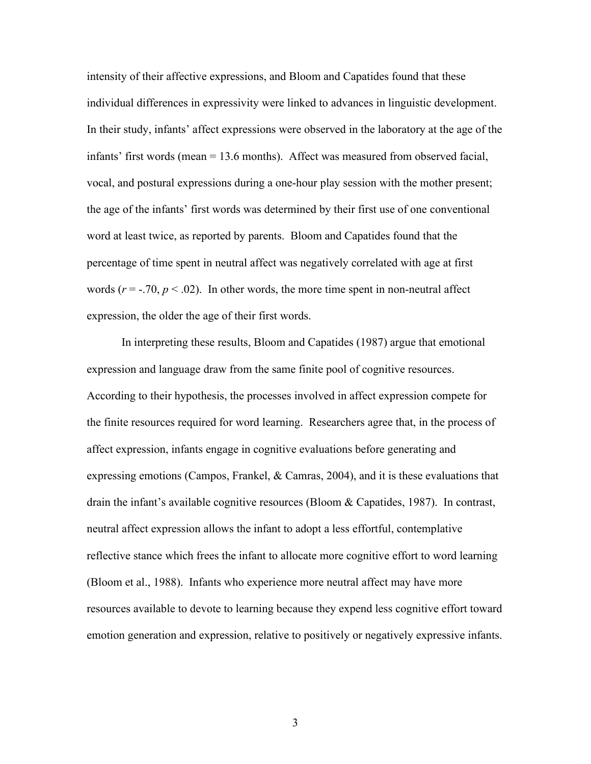intensity of their affective expressions, and Bloom and Capatides found that these individual differences in expressivity were linked to advances in linguistic development. In their study, infants' affect expressions were observed in the laboratory at the age of the infants' first words (mean = 13.6 months). Affect was measured from observed facial, vocal, and postural expressions during a one-hour play session with the mother present; the age of the infants' first words was determined by their first use of one conventional word at least twice, as reported by parents. Bloom and Capatides found that the percentage of time spent in neutral affect was negatively correlated with age at first words  $(r = -.70, p < .02)$ . In other words, the more time spent in non-neutral affect expression, the older the age of their first words.

In interpreting these results, Bloom and Capatides (1987) argue that emotional expression and language draw from the same finite pool of cognitive resources. According to their hypothesis, the processes involved in affect expression compete for the finite resources required for word learning. Researchers agree that, in the process of affect expression, infants engage in cognitive evaluations before generating and expressing emotions (Campos, Frankel, & Camras, 2004), and it is these evaluations that drain the infant's available cognitive resources (Bloom & Capatides, 1987). In contrast, neutral affect expression allows the infant to adopt a less effortful, contemplative reflective stance which frees the infant to allocate more cognitive effort to word learning (Bloom et al., 1988). Infants who experience more neutral affect may have more resources available to devote to learning because they expend less cognitive effort toward emotion generation and expression, relative to positively or negatively expressive infants.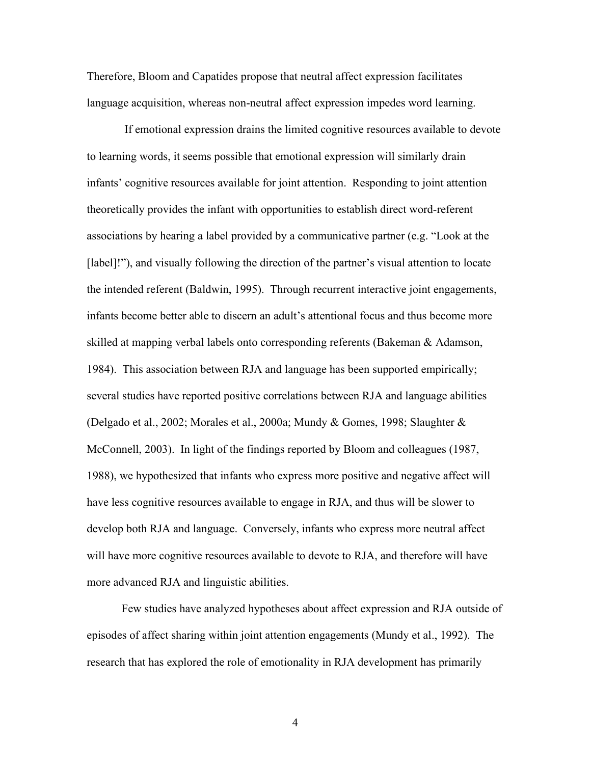Therefore, Bloom and Capatides propose that neutral affect expression facilitates language acquisition, whereas non-neutral affect expression impedes word learning.

 If emotional expression drains the limited cognitive resources available to devote to learning words, it seems possible that emotional expression will similarly drain infants' cognitive resources available for joint attention. Responding to joint attention theoretically provides the infant with opportunities to establish direct word-referent associations by hearing a label provided by a communicative partner (e.g. "Look at the [label]!"), and visually following the direction of the partner's visual attention to locate the intended referent (Baldwin, 1995). Through recurrent interactive joint engagements, infants become better able to discern an adult's attentional focus and thus become more skilled at mapping verbal labels onto corresponding referents (Bakeman & Adamson, 1984). This association between RJA and language has been supported empirically; several studies have reported positive correlations between RJA and language abilities (Delgado et al., 2002; Morales et al., 2000a; Mundy & Gomes, 1998; Slaughter & McConnell, 2003). In light of the findings reported by Bloom and colleagues (1987, 1988), we hypothesized that infants who express more positive and negative affect will have less cognitive resources available to engage in RJA, and thus will be slower to develop both RJA and language. Conversely, infants who express more neutral affect will have more cognitive resources available to devote to RJA, and therefore will have more advanced RJA and linguistic abilities.

Few studies have analyzed hypotheses about affect expression and RJA outside of episodes of affect sharing within joint attention engagements (Mundy et al., 1992). The research that has explored the role of emotionality in RJA development has primarily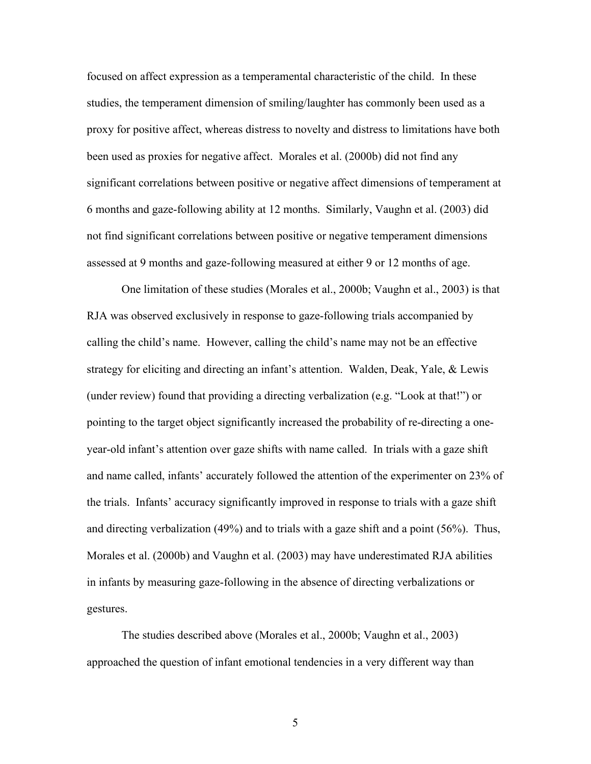focused on affect expression as a temperamental characteristic of the child. In these studies, the temperament dimension of smiling/laughter has commonly been used as a proxy for positive affect, whereas distress to novelty and distress to limitations have both been used as proxies for negative affect. Morales et al. (2000b) did not find any significant correlations between positive or negative affect dimensions of temperament at 6 months and gaze-following ability at 12 months. Similarly, Vaughn et al. (2003) did not find significant correlations between positive or negative temperament dimensions assessed at 9 months and gaze-following measured at either 9 or 12 months of age.

One limitation of these studies (Morales et al., 2000b; Vaughn et al., 2003) is that RJA was observed exclusively in response to gaze-following trials accompanied by calling the child's name. However, calling the child's name may not be an effective strategy for eliciting and directing an infant's attention. Walden, Deak, Yale, & Lewis (under review) found that providing a directing verbalization (e.g. "Look at that!") or pointing to the target object significantly increased the probability of re-directing a oneyear-old infant's attention over gaze shifts with name called. In trials with a gaze shift and name called, infants' accurately followed the attention of the experimenter on 23% of the trials. Infants' accuracy significantly improved in response to trials with a gaze shift and directing verbalization (49%) and to trials with a gaze shift and a point (56%). Thus, Morales et al. (2000b) and Vaughn et al. (2003) may have underestimated RJA abilities in infants by measuring gaze-following in the absence of directing verbalizations or gestures.

The studies described above (Morales et al., 2000b; Vaughn et al., 2003) approached the question of infant emotional tendencies in a very different way than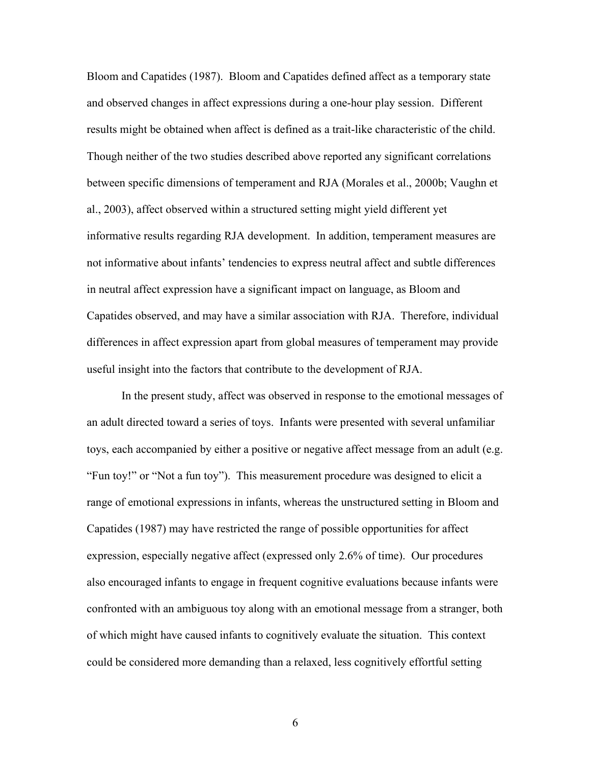Bloom and Capatides (1987). Bloom and Capatides defined affect as a temporary state and observed changes in affect expressions during a one-hour play session. Different results might be obtained when affect is defined as a trait-like characteristic of the child. Though neither of the two studies described above reported any significant correlations between specific dimensions of temperament and RJA (Morales et al., 2000b; Vaughn et al., 2003), affect observed within a structured setting might yield different yet informative results regarding RJA development. In addition, temperament measures are not informative about infants' tendencies to express neutral affect and subtle differences in neutral affect expression have a significant impact on language, as Bloom and Capatides observed, and may have a similar association with RJA. Therefore, individual differences in affect expression apart from global measures of temperament may provide useful insight into the factors that contribute to the development of RJA.

In the present study, affect was observed in response to the emotional messages of an adult directed toward a series of toys. Infants were presented with several unfamiliar toys, each accompanied by either a positive or negative affect message from an adult (e.g. "Fun toy!" or "Not a fun toy"). This measurement procedure was designed to elicit a range of emotional expressions in infants, whereas the unstructured setting in Bloom and Capatides (1987) may have restricted the range of possible opportunities for affect expression, especially negative affect (expressed only 2.6% of time). Our procedures also encouraged infants to engage in frequent cognitive evaluations because infants were confronted with an ambiguous toy along with an emotional message from a stranger, both of which might have caused infants to cognitively evaluate the situation. This context could be considered more demanding than a relaxed, less cognitively effortful setting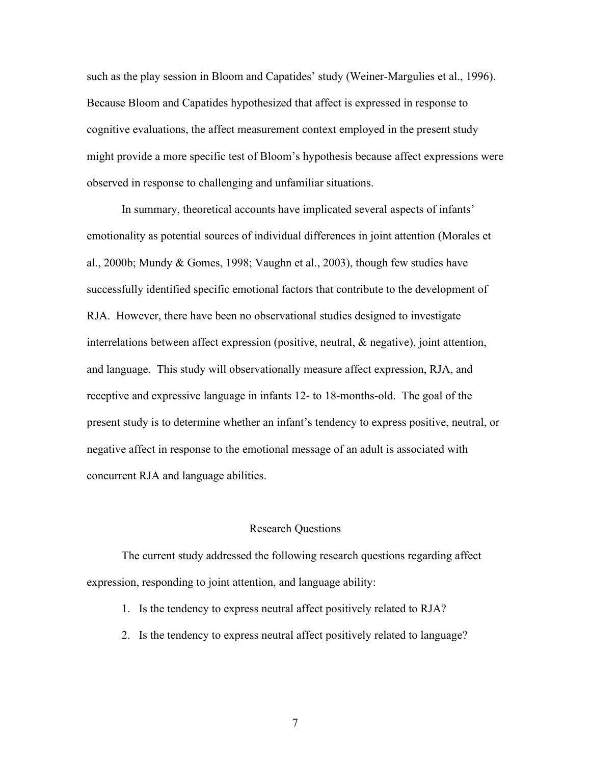such as the play session in Bloom and Capatides' study (Weiner-Margulies et al., 1996). Because Bloom and Capatides hypothesized that affect is expressed in response to cognitive evaluations, the affect measurement context employed in the present study might provide a more specific test of Bloom's hypothesis because affect expressions were observed in response to challenging and unfamiliar situations.

In summary, theoretical accounts have implicated several aspects of infants' emotionality as potential sources of individual differences in joint attention (Morales et al., 2000b; Mundy & Gomes, 1998; Vaughn et al., 2003), though few studies have successfully identified specific emotional factors that contribute to the development of RJA. However, there have been no observational studies designed to investigate interrelations between affect expression (positive, neutral, & negative), joint attention, and language. This study will observationally measure affect expression, RJA, and receptive and expressive language in infants 12- to 18-months-old. The goal of the present study is to determine whether an infant's tendency to express positive, neutral, or negative affect in response to the emotional message of an adult is associated with concurrent RJA and language abilities.

#### Research Questions

The current study addressed the following research questions regarding affect expression, responding to joint attention, and language ability:

- 1. Is the tendency to express neutral affect positively related to RJA?
- 2. Is the tendency to express neutral affect positively related to language?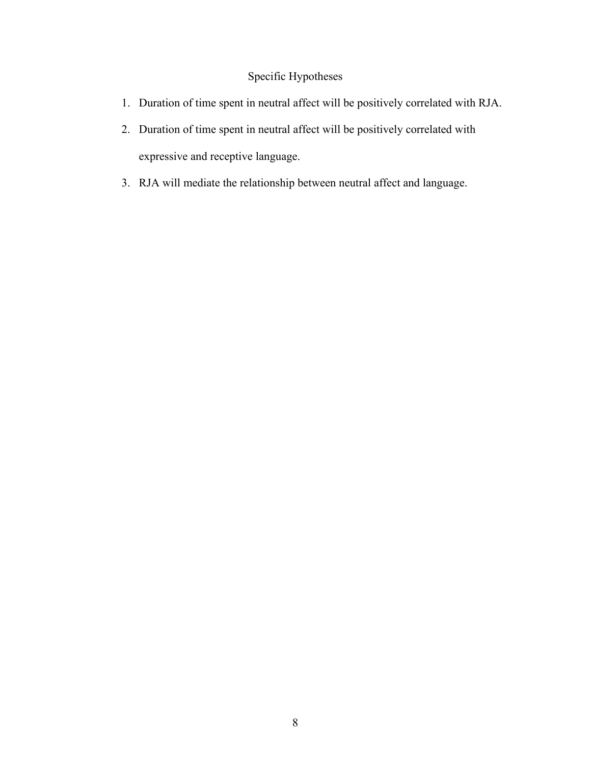# Specific Hypotheses

- 1. Duration of time spent in neutral affect will be positively correlated with RJA.
- 2. Duration of time spent in neutral affect will be positively correlated with expressive and receptive language.
- 3. RJA will mediate the relationship between neutral affect and language.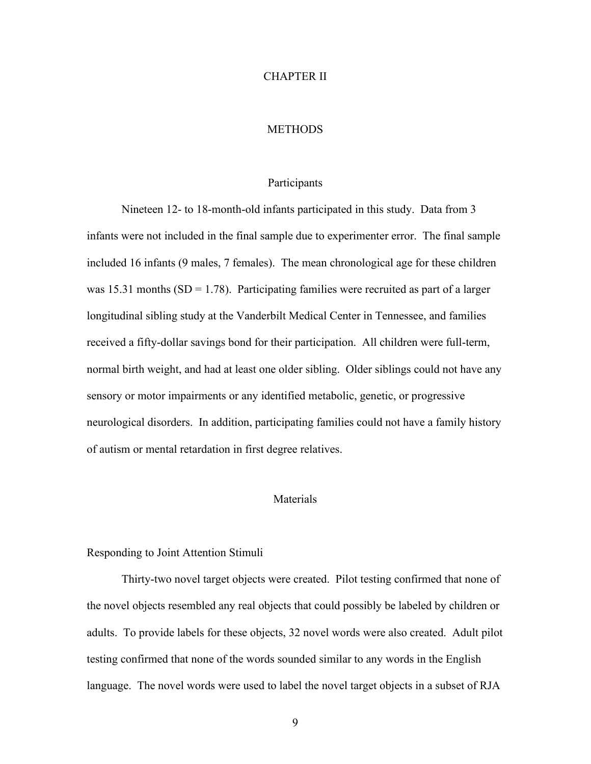#### CHAPTER II

# **METHODS**

## Participants

Nineteen 12- to 18-month-old infants participated in this study. Data from 3 infants were not included in the final sample due to experimenter error. The final sample included 16 infants (9 males, 7 females). The mean chronological age for these children was 15.31 months  $(SD = 1.78)$ . Participating families were recruited as part of a larger longitudinal sibling study at the Vanderbilt Medical Center in Tennessee, and families received a fifty-dollar savings bond for their participation. All children were full-term, normal birth weight, and had at least one older sibling. Older siblings could not have any sensory or motor impairments or any identified metabolic, genetic, or progressive neurological disorders. In addition, participating families could not have a family history of autism or mental retardation in first degree relatives.

# Materials

#### Responding to Joint Attention Stimuli

Thirty-two novel target objects were created. Pilot testing confirmed that none of the novel objects resembled any real objects that could possibly be labeled by children or adults. To provide labels for these objects, 32 novel words were also created. Adult pilot testing confirmed that none of the words sounded similar to any words in the English language. The novel words were used to label the novel target objects in a subset of RJA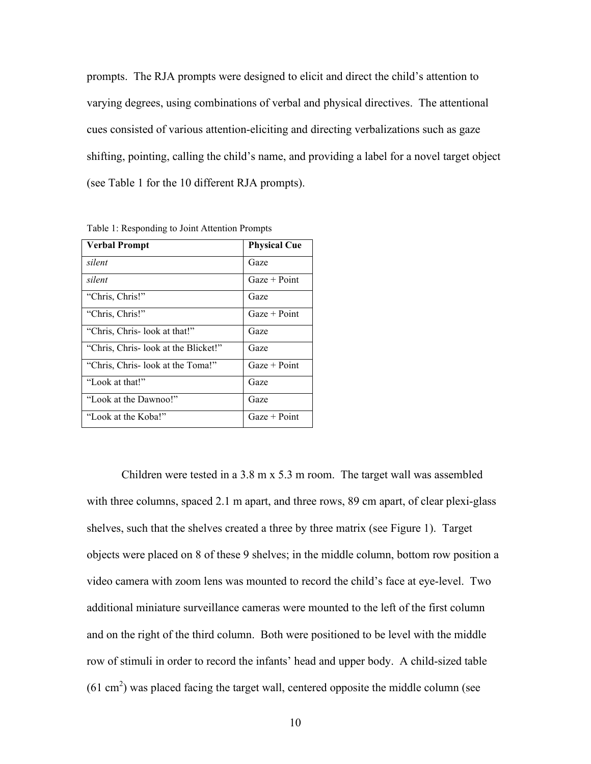prompts. The RJA prompts were designed to elicit and direct the child's attention to varying degrees, using combinations of verbal and physical directives. The attentional cues consisted of various attention-eliciting and directing verbalizations such as gaze shifting, pointing, calling the child's name, and providing a label for a novel target object (see Table 1 for the 10 different RJA prompts).

| <b>Verbal Prompt</b>                 | <b>Physical Cue</b> |
|--------------------------------------|---------------------|
| silent                               | Gaze                |
| silent                               | $Gaze + Point$      |
| "Chris, Chris!"                      | Gaze                |
| "Chris, Chris!"                      | $Gaze + Point$      |
| "Chris, Chris-look at that!"         | Gaze                |
| "Chris, Chris- look at the Blicket!" | Gaze                |
| "Chris, Chris- look at the Toma!"    | $Gaze + Point$      |
| "Look at that!"                      | Gaze                |
| "Look at the Dawnoo!"                | Gaze                |
| "Look at the Koba!"                  | $Gaze + Point$      |

Table 1: Responding to Joint Attention Prompts

Children were tested in a 3.8 m x 5.3 m room. The target wall was assembled with three columns, spaced 2.1 m apart, and three rows, 89 cm apart, of clear plexi-glass shelves, such that the shelves created a three by three matrix (see Figure 1). Target objects were placed on 8 of these 9 shelves; in the middle column, bottom row position a video camera with zoom lens was mounted to record the child's face at eye-level. Two additional miniature surveillance cameras were mounted to the left of the first column and on the right of the third column. Both were positioned to be level with the middle row of stimuli in order to record the infants' head and upper body. A child-sized table  $(61 \text{ cm}^2)$  was placed facing the target wall, centered opposite the middle column (see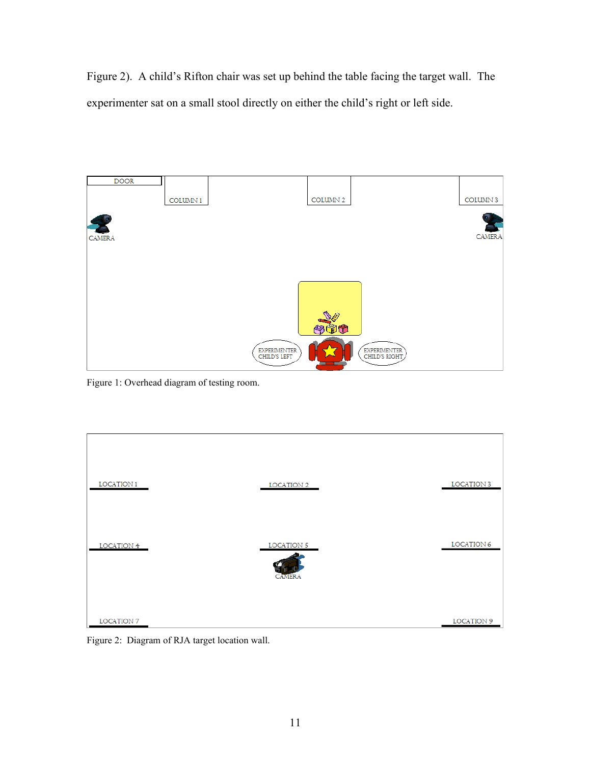Figure 2). A child's Rifton chair was set up behind the table facing the target wall. The experimenter sat on a small stool directly on either the child's right or left side.



Figure 1: Overhead diagram of testing room.

| LOCATION 1<br>LOCATION 2<br>LOCATION 5<br>LOCATION 4 |  |                   |
|------------------------------------------------------|--|-------------------|
|                                                      |  | <b>LOCATION 3</b> |
|                                                      |  | LOCATION 6        |
| <b>CAMERA</b>                                        |  |                   |
| LOCATION 7                                           |  | LOCATION 9        |

Figure 2: Diagram of RJA target location wall.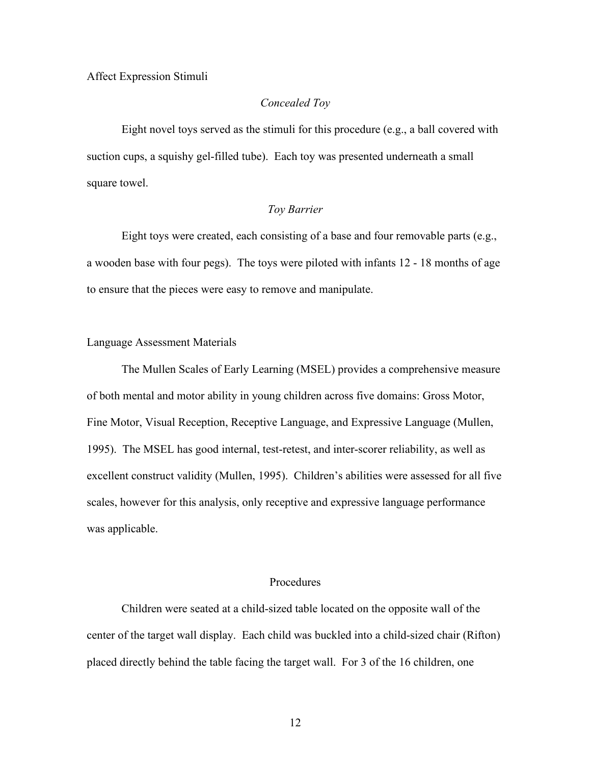### Affect Expression Stimuli

## *Concealed Toy*

Eight novel toys served as the stimuli for this procedure (e.g., a ball covered with suction cups, a squishy gel-filled tube). Each toy was presented underneath a small square towel.

### *Toy Barrier*

Eight toys were created, each consisting of a base and four removable parts (e.g., a wooden base with four pegs). The toys were piloted with infants 12 - 18 months of age to ensure that the pieces were easy to remove and manipulate.

## Language Assessment Materials

The Mullen Scales of Early Learning (MSEL) provides a comprehensive measure of both mental and motor ability in young children across five domains: Gross Motor, Fine Motor, Visual Reception, Receptive Language, and Expressive Language (Mullen, 1995). The MSEL has good internal, test-retest, and inter-scorer reliability, as well as excellent construct validity (Mullen, 1995). Children's abilities were assessed for all five scales, however for this analysis, only receptive and expressive language performance was applicable.

## **Procedures**

Children were seated at a child-sized table located on the opposite wall of the center of the target wall display. Each child was buckled into a child-sized chair (Rifton) placed directly behind the table facing the target wall. For 3 of the 16 children, one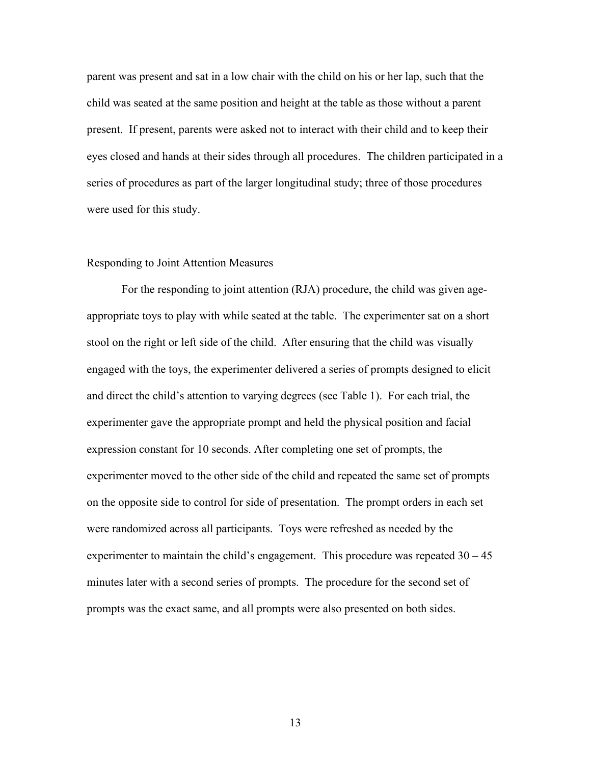parent was present and sat in a low chair with the child on his or her lap, such that the child was seated at the same position and height at the table as those without a parent present. If present, parents were asked not to interact with their child and to keep their eyes closed and hands at their sides through all procedures. The children participated in a series of procedures as part of the larger longitudinal study; three of those procedures were used for this study.

#### Responding to Joint Attention Measures

For the responding to joint attention (RJA) procedure, the child was given ageappropriate toys to play with while seated at the table. The experimenter sat on a short stool on the right or left side of the child. After ensuring that the child was visually engaged with the toys, the experimenter delivered a series of prompts designed to elicit and direct the child's attention to varying degrees (see Table 1). For each trial, the experimenter gave the appropriate prompt and held the physical position and facial expression constant for 10 seconds. After completing one set of prompts, the experimenter moved to the other side of the child and repeated the same set of prompts on the opposite side to control for side of presentation. The prompt orders in each set were randomized across all participants. Toys were refreshed as needed by the experimenter to maintain the child's engagement. This procedure was repeated  $30 - 45$ minutes later with a second series of prompts. The procedure for the second set of prompts was the exact same, and all prompts were also presented on both sides.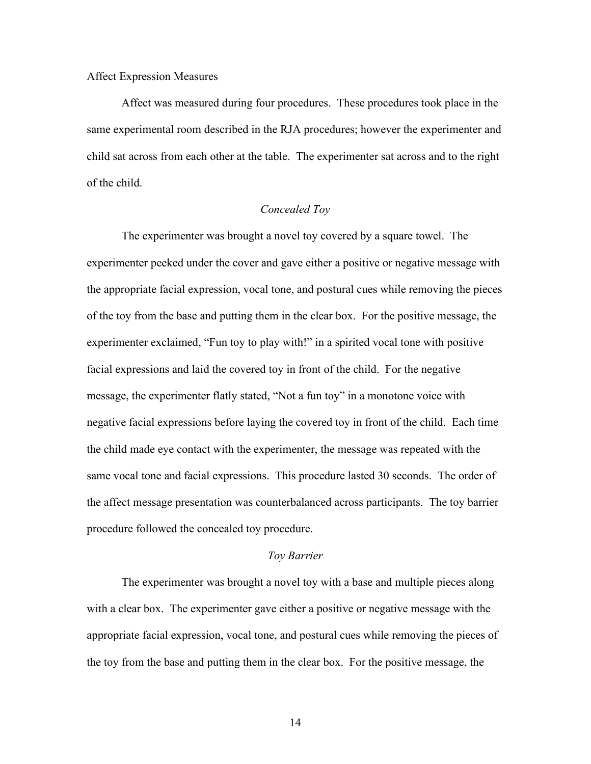#### Affect Expression Measures

Affect was measured during four procedures. These procedures took place in the same experimental room described in the RJA procedures; however the experimenter and child sat across from each other at the table. The experimenter sat across and to the right of the child.

## *Concealed Toy*

The experimenter was brought a novel toy covered by a square towel. The experimenter peeked under the cover and gave either a positive or negative message with the appropriate facial expression, vocal tone, and postural cues while removing the pieces of the toy from the base and putting them in the clear box. For the positive message, the experimenter exclaimed, "Fun toy to play with!" in a spirited vocal tone with positive facial expressions and laid the covered toy in front of the child. For the negative message, the experimenter flatly stated, "Not a fun toy" in a monotone voice with negative facial expressions before laying the covered toy in front of the child. Each time the child made eye contact with the experimenter, the message was repeated with the same vocal tone and facial expressions. This procedure lasted 30 seconds. The order of the affect message presentation was counterbalanced across participants. The toy barrier procedure followed the concealed toy procedure.

#### *Toy Barrier*

The experimenter was brought a novel toy with a base and multiple pieces along with a clear box. The experimenter gave either a positive or negative message with the appropriate facial expression, vocal tone, and postural cues while removing the pieces of the toy from the base and putting them in the clear box. For the positive message, the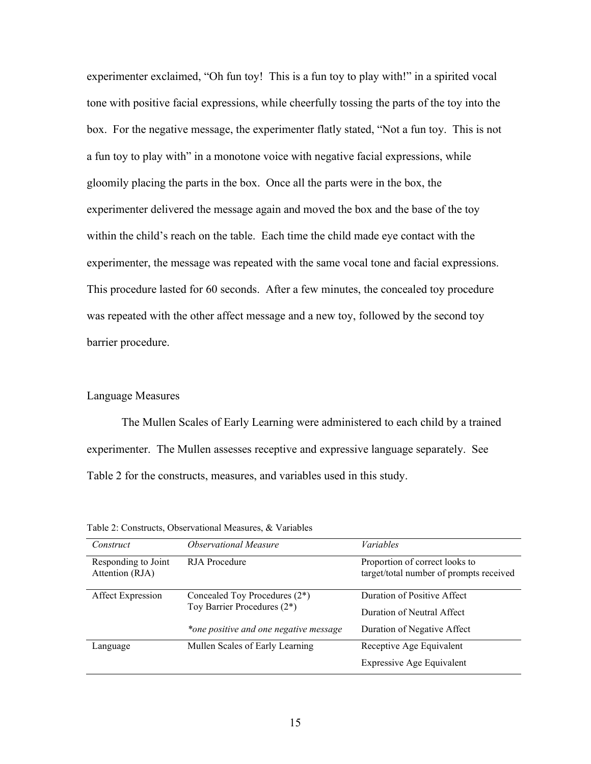experimenter exclaimed, "Oh fun toy! This is a fun toy to play with!" in a spirited vocal tone with positive facial expressions, while cheerfully tossing the parts of the toy into the box. For the negative message, the experimenter flatly stated, "Not a fun toy. This is not a fun toy to play with" in a monotone voice with negative facial expressions, while gloomily placing the parts in the box. Once all the parts were in the box, the experimenter delivered the message again and moved the box and the base of the toy within the child's reach on the table. Each time the child made eye contact with the experimenter, the message was repeated with the same vocal tone and facial expressions. This procedure lasted for 60 seconds. After a few minutes, the concealed toy procedure was repeated with the other affect message and a new toy, followed by the second toy barrier procedure.

### Language Measures

The Mullen Scales of Early Learning were administered to each child by a trained experimenter. The Mullen assesses receptive and expressive language separately. See Table 2 for the constructs, measures, and variables used in this study.

| Construct                   | <i><b>Observational Measure</b></i>    | <i>Variables</i>                        |
|-----------------------------|----------------------------------------|-----------------------------------------|
| Responding to Joint         | RJA Procedure                          | Proportion of correct looks to          |
| Attention (RJA)             |                                        | target/total number of prompts received |
| Affect Expression           | Concealed Toy Procedures $(2^*)$       | Duration of Positive Affect             |
| Toy Barrier Procedures (2*) | Duration of Neutral Affect             |                                         |
|                             | *one positive and one negative message | Duration of Negative Affect             |
| Language                    | Mullen Scales of Early Learning        | Receptive Age Equivalent                |
|                             |                                        | <b>Expressive Age Equivalent</b>        |

Table 2: Constructs, Observational Measures, & Variables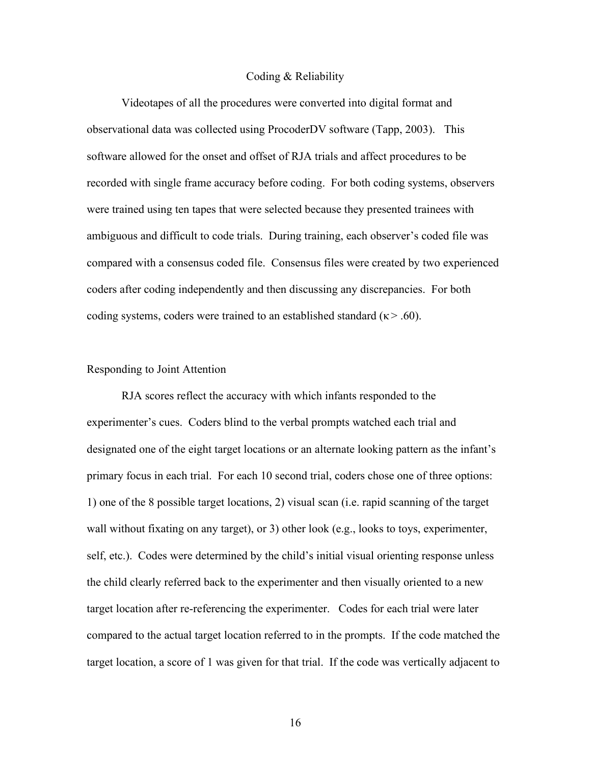#### Coding & Reliability

Videotapes of all the procedures were converted into digital format and observational data was collected using ProcoderDV software (Tapp, 2003). This software allowed for the onset and offset of RJA trials and affect procedures to be recorded with single frame accuracy before coding. For both coding systems, observers were trained using ten tapes that were selected because they presented trainees with ambiguous and difficult to code trials. During training, each observer's coded file was compared with a consensus coded file. Consensus files were created by two experienced coders after coding independently and then discussing any discrepancies. For both coding systems, coders were trained to an established standard ( $\kappa$  > .60).

## Responding to Joint Attention

RJA scores reflect the accuracy with which infants responded to the experimenter's cues. Coders blind to the verbal prompts watched each trial and designated one of the eight target locations or an alternate looking pattern as the infant's primary focus in each trial. For each 10 second trial, coders chose one of three options: 1) one of the 8 possible target locations, 2) visual scan (i.e. rapid scanning of the target wall without fixating on any target), or 3) other look (e.g., looks to toys, experimenter, self, etc.). Codes were determined by the child's initial visual orienting response unless the child clearly referred back to the experimenter and then visually oriented to a new target location after re-referencing the experimenter. Codes for each trial were later compared to the actual target location referred to in the prompts. If the code matched the target location, a score of 1 was given for that trial. If the code was vertically adjacent to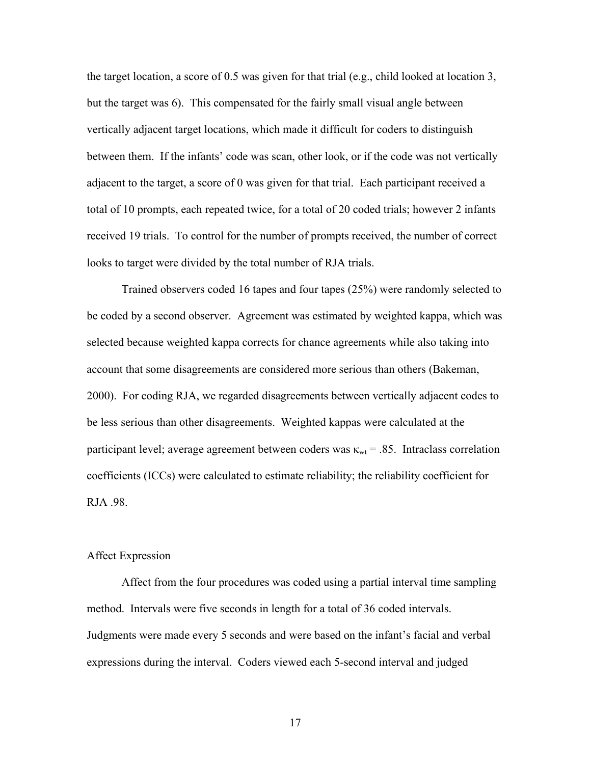the target location, a score of 0.5 was given for that trial (e.g., child looked at location 3, but the target was 6). This compensated for the fairly small visual angle between vertically adjacent target locations, which made it difficult for coders to distinguish between them. If the infants' code was scan, other look, or if the code was not vertically adjacent to the target, a score of 0 was given for that trial. Each participant received a total of 10 prompts, each repeated twice, for a total of 20 coded trials; however 2 infants received 19 trials. To control for the number of prompts received, the number of correct looks to target were divided by the total number of RJA trials.

Trained observers coded 16 tapes and four tapes (25%) were randomly selected to be coded by a second observer. Agreement was estimated by weighted kappa, which was selected because weighted kappa corrects for chance agreements while also taking into account that some disagreements are considered more serious than others (Bakeman, 2000). For coding RJA, we regarded disagreements between vertically adjacent codes to be less serious than other disagreements. Weighted kappas were calculated at the participant level; average agreement between coders was  $\kappa_{wt}$  = .85. Intraclass correlation coefficients (ICCs) were calculated to estimate reliability; the reliability coefficient for RJA .98.

## Affect Expression

Affect from the four procedures was coded using a partial interval time sampling method. Intervals were five seconds in length for a total of 36 coded intervals. Judgments were made every 5 seconds and were based on the infant's facial and verbal expressions during the interval. Coders viewed each 5-second interval and judged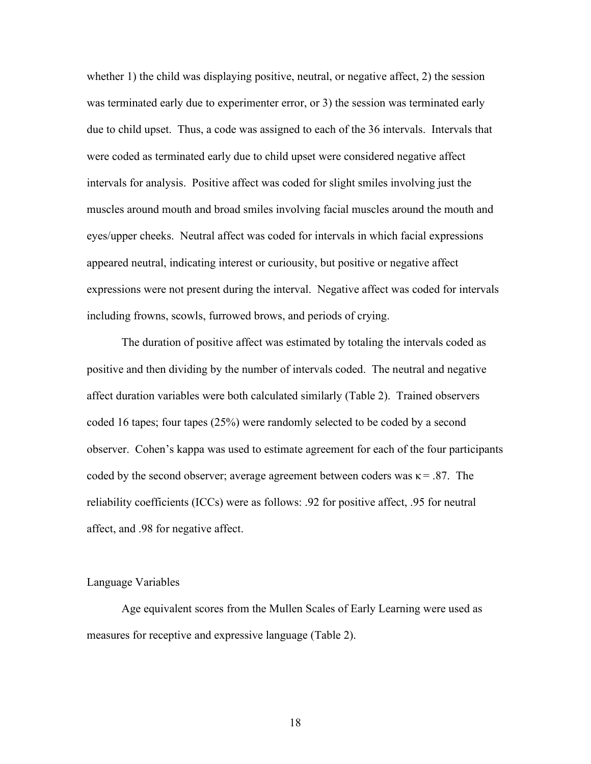whether 1) the child was displaying positive, neutral, or negative affect, 2) the session was terminated early due to experimenter error, or 3) the session was terminated early due to child upset. Thus, a code was assigned to each of the 36 intervals. Intervals that were coded as terminated early due to child upset were considered negative affect intervals for analysis. Positive affect was coded for slight smiles involving just the muscles around mouth and broad smiles involving facial muscles around the mouth and eyes/upper cheeks. Neutral affect was coded for intervals in which facial expressions appeared neutral, indicating interest or curiousity, but positive or negative affect expressions were not present during the interval. Negative affect was coded for intervals including frowns, scowls, furrowed brows, and periods of crying.

The duration of positive affect was estimated by totaling the intervals coded as positive and then dividing by the number of intervals coded. The neutral and negative affect duration variables were both calculated similarly (Table 2). Trained observers coded 16 tapes; four tapes (25%) were randomly selected to be coded by a second observer. Cohen's kappa was used to estimate agreement for each of the four participants coded by the second observer; average agreement between coders was  $\kappa = .87$ . The reliability coefficients (ICCs) were as follows: .92 for positive affect, .95 for neutral affect, and .98 for negative affect.

# Language Variables

Age equivalent scores from the Mullen Scales of Early Learning were used as measures for receptive and expressive language (Table 2).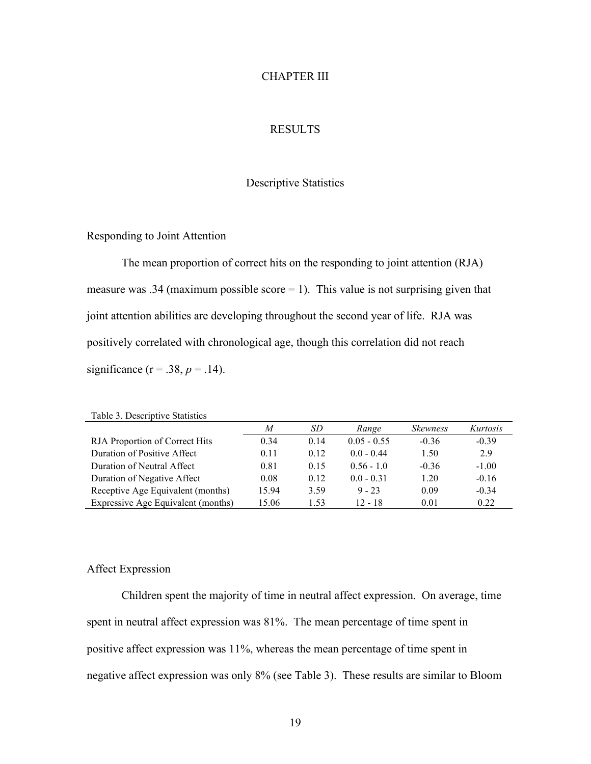# CHAPTER III

# RESULTS

# Descriptive Statistics

Responding to Joint Attention

The mean proportion of correct hits on the responding to joint attention (RJA) measure was .34 (maximum possible score  $= 1$ ). This value is not surprising given that joint attention abilities are developing throughout the second year of life. RJA was positively correlated with chronological age, though this correlation did not reach significance ( $r = .38$ ,  $p = .14$ ).

| Table 3. Descriptive Statistics    |       |      |               |                        |          |
|------------------------------------|-------|------|---------------|------------------------|----------|
|                                    | M     | SD   | Range         | <i><b>Skewness</b></i> | Kurtosis |
| RJA Proportion of Correct Hits     | 0.34  | 014  | $0.05 - 0.55$ | $-0.36$                | $-0.39$  |
| Duration of Positive Affect        | 0.11  | 0.12 | $00 - 044$    | 1.50                   | 2.9      |
| Duration of Neutral Affect         | 0.81  | 0.15 | $0.56 - 1.0$  | $-0.36$                | $-1.00$  |
| Duration of Negative Affect        | 0.08  | 0.12 | $0.0 - 0.31$  | 1 20                   | $-0.16$  |
| Receptive Age Equivalent (months)  | 15.94 | 3.59 | $9 - 23$      | 0.09                   | $-0.34$  |
| Expressive Age Equivalent (months) | 15.06 | 1.53 | $12 - 18$     | 0.01                   | 0.22     |

# Affect Expression

Children spent the majority of time in neutral affect expression. On average, time spent in neutral affect expression was 81%. The mean percentage of time spent in positive affect expression was 11%, whereas the mean percentage of time spent in negative affect expression was only 8% (see Table 3). These results are similar to Bloom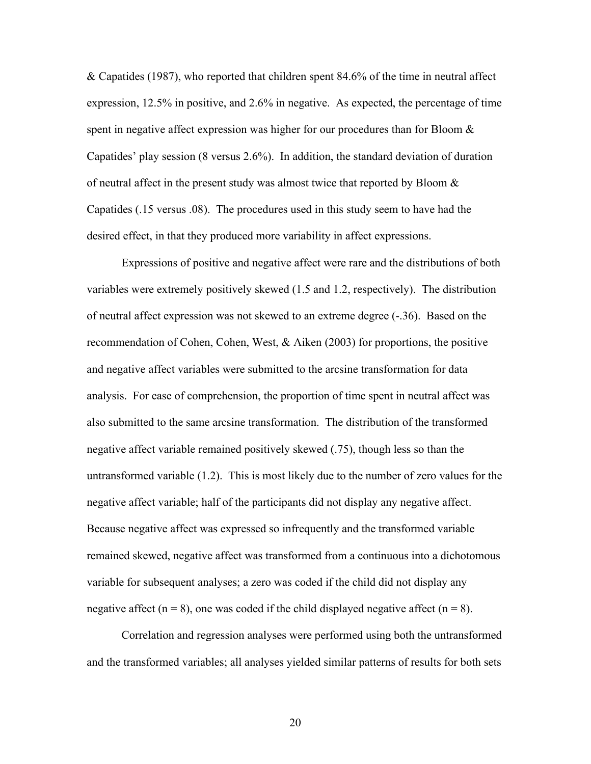& Capatides (1987), who reported that children spent 84.6% of the time in neutral affect expression, 12.5% in positive, and 2.6% in negative. As expected, the percentage of time spent in negative affect expression was higher for our procedures than for Bloom & Capatides' play session (8 versus 2.6%). In addition, the standard deviation of duration of neutral affect in the present study was almost twice that reported by Bloom  $\&$ Capatides (.15 versus .08). The procedures used in this study seem to have had the desired effect, in that they produced more variability in affect expressions.

Expressions of positive and negative affect were rare and the distributions of both variables were extremely positively skewed (1.5 and 1.2, respectively). The distribution of neutral affect expression was not skewed to an extreme degree (-.36). Based on the recommendation of Cohen, Cohen, West,  $\&$  Aiken (2003) for proportions, the positive and negative affect variables were submitted to the arcsine transformation for data analysis. For ease of comprehension, the proportion of time spent in neutral affect was also submitted to the same arcsine transformation. The distribution of the transformed negative affect variable remained positively skewed (.75), though less so than the untransformed variable (1.2). This is most likely due to the number of zero values for the negative affect variable; half of the participants did not display any negative affect. Because negative affect was expressed so infrequently and the transformed variable remained skewed, negative affect was transformed from a continuous into a dichotomous variable for subsequent analyses; a zero was coded if the child did not display any negative affect ( $n = 8$ ), one was coded if the child displayed negative affect ( $n = 8$ ).

Correlation and regression analyses were performed using both the untransformed and the transformed variables; all analyses yielded similar patterns of results for both sets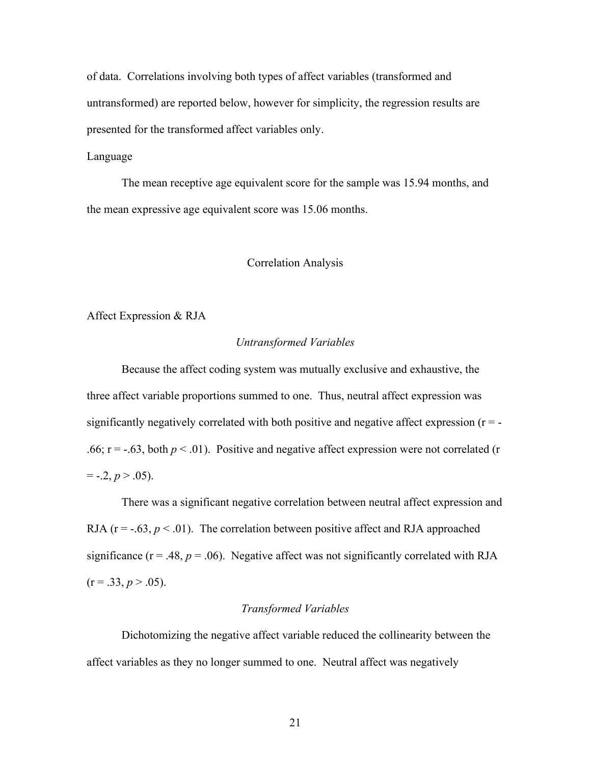of data. Correlations involving both types of affect variables (transformed and untransformed) are reported below, however for simplicity, the regression results are presented for the transformed affect variables only.

## Language

The mean receptive age equivalent score for the sample was 15.94 months, and the mean expressive age equivalent score was 15.06 months.

## Correlation Analysis

Affect Expression & RJA

#### *Untransformed Variables*

Because the affect coding system was mutually exclusive and exhaustive, the three affect variable proportions summed to one. Thus, neutral affect expression was significantly negatively correlated with both positive and negative affect expression  $(r = -$ .66;  $r = -.63$ , both  $p < .01$ ). Positive and negative affect expression were not correlated (r  $= -2, p > .05$ ).

There was a significant negative correlation between neutral affect expression and RJA ( $r = -0.63$ ,  $p < 0.01$ ). The correlation between positive affect and RJA approached significance ( $r = .48$ ,  $p = .06$ ). Negative affect was not significantly correlated with RJA  $(r = .33, p > .05)$ .

### *Transformed Variables*

Dichotomizing the negative affect variable reduced the collinearity between the affect variables as they no longer summed to one. Neutral affect was negatively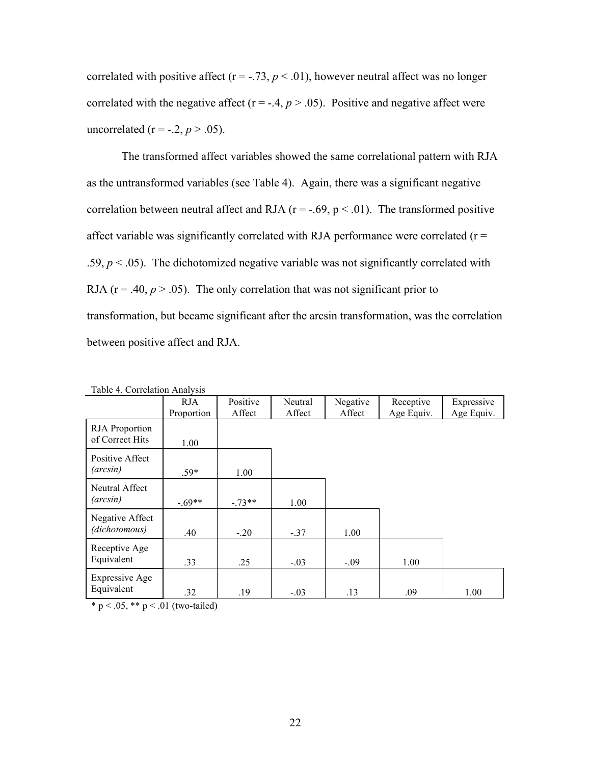correlated with positive affect ( $r = -.73$ ,  $p < .01$ ), however neutral affect was no longer correlated with the negative affect ( $r = -0.4$ ,  $p > 0.05$ ). Positive and negative affect were uncorrelated ( $r = -0.2$ ,  $p > 0.05$ ).

The transformed affect variables showed the same correlational pattern with RJA as the untransformed variables (see Table 4). Again, there was a significant negative correlation between neutral affect and RJA ( $r = -.69$ ,  $p < .01$ ). The transformed positive affect variable was significantly correlated with RJA performance were correlated  $(r =$ .59,  $p < 0.05$ ). The dichotomized negative variable was not significantly correlated with RJA ( $r = .40$ ,  $p > .05$ ). The only correlation that was not significant prior to transformation, but became significant after the arcsin transformation, was the correlation between positive affect and RJA.

| TAUIT 4. CUITTIAIIUII AIIAIVSIS |            |          |         |          |            |            |
|---------------------------------|------------|----------|---------|----------|------------|------------|
|                                 | RJA.       | Positive | Neutral | Negative | Receptive  | Expressive |
|                                 | Proportion | Affect   | Affect  | Affect   | Age Equiv. | Age Equiv. |
|                                 |            |          |         |          |            |            |
| <b>RJA</b> Proportion           |            |          |         |          |            |            |
| of Correct Hits                 | 1.00       |          |         |          |            |            |
| Positive Affect                 |            |          |         |          |            |            |
| (arcsin)                        | $.59*$     | 1.00     |         |          |            |            |
| Neutral Affect                  |            |          |         |          |            |            |
| (arcsin)                        | $-.69**$   | $-73**$  | 1.00    |          |            |            |
| Negative Affect                 |            |          |         |          |            |            |
| (dichotomous)                   | .40        | $-.20$   | $-.37$  | 1.00     |            |            |
| Receptive Age                   |            |          |         |          |            |            |
| Equivalent                      | .33        | .25      | $-.03$  | $-.09$   | 1.00       |            |
|                                 |            |          |         |          |            |            |
| <b>Expressive Age</b>           |            |          |         |          |            |            |
| Equivalent                      | .32        | .19      | $-.03$  | .13      | .09        | 1.00       |

Table 4. Correlation Analysis

\* p < .05, \*\* p < .01 (two-tailed)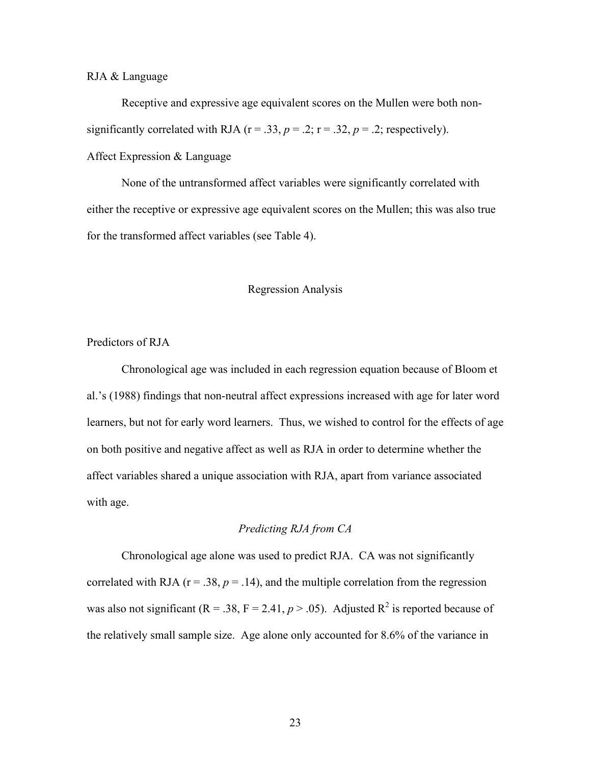## RJA & Language

Receptive and expressive age equivalent scores on the Mullen were both nonsignificantly correlated with RJA ( $r = .33$ ,  $p = .2$ ;  $r = .32$ ,  $p = .2$ ; respectively). Affect Expression & Language

None of the untransformed affect variables were significantly correlated with either the receptive or expressive age equivalent scores on the Mullen; this was also true for the transformed affect variables (see Table 4).

## Regression Analysis

# Predictors of RJA

Chronological age was included in each regression equation because of Bloom et al.'s (1988) findings that non-neutral affect expressions increased with age for later word learners, but not for early word learners. Thus, we wished to control for the effects of age on both positive and negative affect as well as RJA in order to determine whether the affect variables shared a unique association with RJA, apart from variance associated with age.

## *Predicting RJA from CA*

Chronological age alone was used to predict RJA. CA was not significantly correlated with RJA ( $r = .38$ ,  $p = .14$ ), and the multiple correlation from the regression was also not significant ( $R = .38$ ,  $F = 2.41$ ,  $p > .05$ ). Adjusted  $R^2$  is reported because of the relatively small sample size. Age alone only accounted for 8.6% of the variance in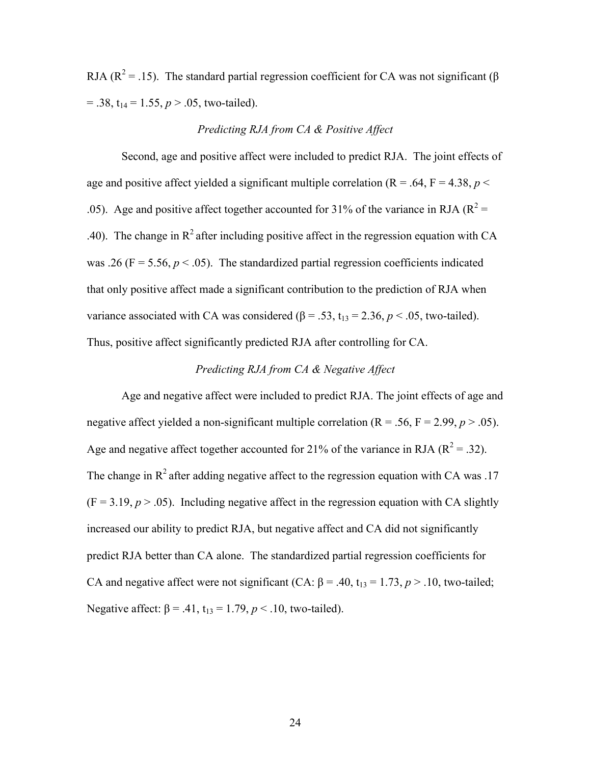RJA ( $\mathbb{R}^2$  = .15). The standard partial regression coefficient for CA was not significant ( $\beta$  $= .38$ ,  $t_{14} = 1.55$ ,  $p > .05$ , two-tailed).

# *Predicting RJA from CA & Positive Affect*

Second, age and positive affect were included to predict RJA. The joint effects of age and positive affect yielded a significant multiple correlation ( $R = .64$ ,  $F = 4.38$ ,  $p <$ .05). Age and positive affect together accounted for 31% of the variance in RJA ( $R^2$  = .40). The change in  $R^2$  after including positive affect in the regression equation with CA was .26 ( $F = 5.56$ ,  $p < .05$ ). The standardized partial regression coefficients indicated that only positive affect made a significant contribution to the prediction of RJA when variance associated with CA was considered ( $\beta$  = .53,  $t_{13}$  = 2.36,  $p$  < .05, two-tailed). Thus, positive affect significantly predicted RJA after controlling for CA.

# *Predicting RJA from CA & Negative Affect*

Age and negative affect were included to predict RJA. The joint effects of age and negative affect yielded a non-significant multiple correlation  $(R = .56, F = 2.99, p > .05)$ . Age and negative affect together accounted for 21% of the variance in RJA ( $R^2 = .32$ ). The change in  $R^2$  after adding negative affect to the regression equation with CA was .17  $(F = 3.19, p > .05)$ . Including negative affect in the regression equation with CA slightly increased our ability to predict RJA, but negative affect and CA did not significantly predict RJA better than CA alone. The standardized partial regression coefficients for CA and negative affect were not significant (CA:  $\beta$  = .40, t<sub>13</sub> = 1.73, *p* > .10, two-tailed; Negative affect:  $\beta$  = .41, t<sub>13</sub> = 1.79,  $p < 10$ , two-tailed).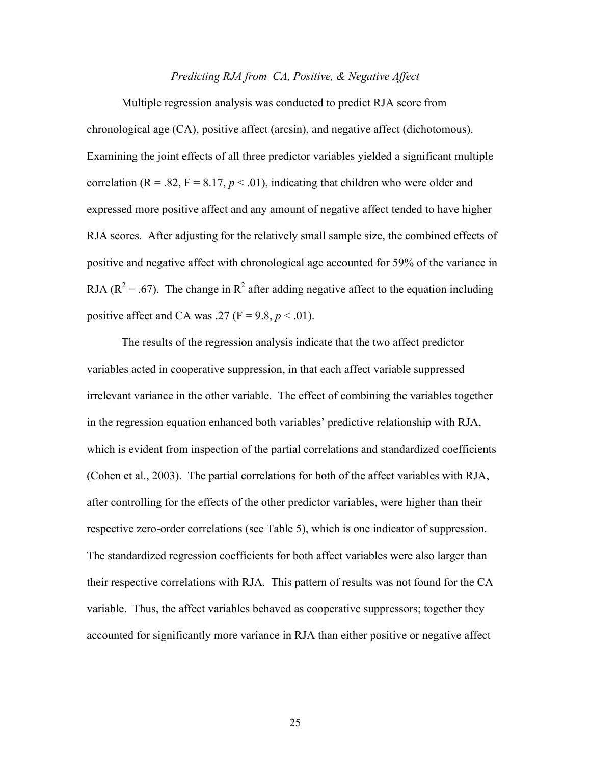#### *Predicting RJA from CA, Positive, & Negative Affect*

Multiple regression analysis was conducted to predict RJA score from chronological age (CA), positive affect (arcsin), and negative affect (dichotomous). Examining the joint effects of all three predictor variables yielded a significant multiple correlation  $(R = .82, F = 8.17, p < .01)$ , indicating that children who were older and expressed more positive affect and any amount of negative affect tended to have higher RJA scores. After adjusting for the relatively small sample size, the combined effects of positive and negative affect with chronological age accounted for 59% of the variance in RJA ( $\mathbb{R}^2$  = .67). The change in  $\mathbb{R}^2$  after adding negative affect to the equation including positive affect and CA was .27 ( $F = 9.8$ ,  $p < .01$ ).

The results of the regression analysis indicate that the two affect predictor variables acted in cooperative suppression, in that each affect variable suppressed irrelevant variance in the other variable. The effect of combining the variables together in the regression equation enhanced both variables' predictive relationship with RJA, which is evident from inspection of the partial correlations and standardized coefficients (Cohen et al., 2003). The partial correlations for both of the affect variables with RJA, after controlling for the effects of the other predictor variables, were higher than their respective zero-order correlations (see Table 5), which is one indicator of suppression. The standardized regression coefficients for both affect variables were also larger than their respective correlations with RJA. This pattern of results was not found for the CA variable. Thus, the affect variables behaved as cooperative suppressors; together they accounted for significantly more variance in RJA than either positive or negative affect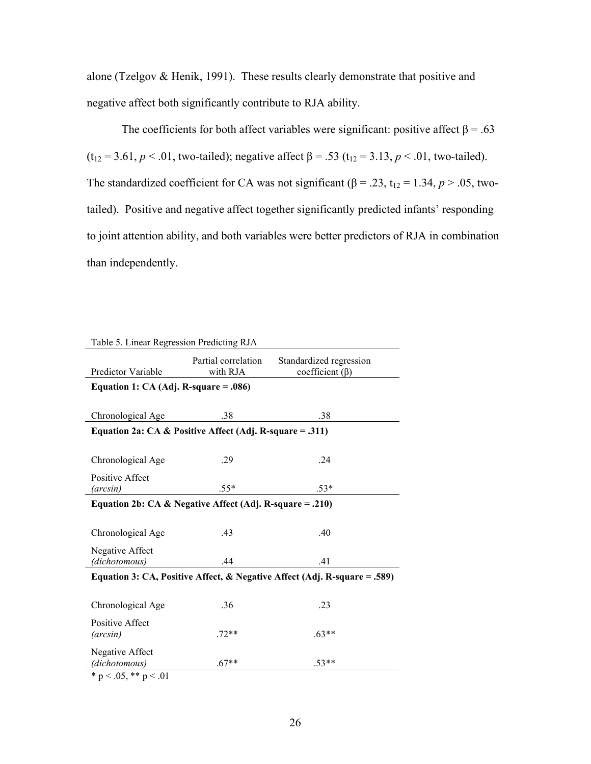alone (Tzelgov & Henik, 1991). These results clearly demonstrate that positive and negative affect both significantly contribute to RJA ability.

The coefficients for both affect variables were significant: positive affect  $\beta = .63$ (t<sub>12</sub> = 3.61, *p* < .01, two-tailed); negative affect  $\beta$  = .53 (t<sub>12</sub> = 3.13, *p* < .01, two-tailed). The standardized coefficient for CA was not significant ( $\beta$  = .23, t<sub>12</sub> = 1.34, *p* > .05, twotailed). Positive and negative affect together significantly predicted infants' responding to joint attention ability, and both variables were better predictors of RJA in combination than independently.

| Table 5. Linear Regression Predicting RJA                                 |                                 |                                                  |  |  |
|---------------------------------------------------------------------------|---------------------------------|--------------------------------------------------|--|--|
| Predictor Variable                                                        | Partial correlation<br>with RJA | Standardized regression<br>coefficient $(\beta)$ |  |  |
| Equation 1: $CA$ (Adj. R-square = .086)                                   |                                 |                                                  |  |  |
|                                                                           |                                 |                                                  |  |  |
| Chronological Age                                                         | .38                             | .38                                              |  |  |
| Equation 2a: CA & Positive Affect (Adj. R-square = .311)                  |                                 |                                                  |  |  |
|                                                                           |                                 |                                                  |  |  |
| Chronological Age                                                         | .29                             | .24                                              |  |  |
| Positive Affect                                                           |                                 |                                                  |  |  |
| (arcsin)                                                                  | $.55*$                          | $.53*$                                           |  |  |
| Equation 2b: CA & Negative Affect (Adj. R-square = .210)                  |                                 |                                                  |  |  |
|                                                                           |                                 |                                                  |  |  |
| Chronological Age                                                         | .43                             | .40                                              |  |  |
| Negative Affect                                                           |                                 |                                                  |  |  |
| (dichotomous)                                                             | .44                             | .41                                              |  |  |
| Equation 3: CA, Positive Affect, & Negative Affect (Adj. R-square = .589) |                                 |                                                  |  |  |
|                                                                           |                                 |                                                  |  |  |
| Chronological Age                                                         | .36                             | .23                                              |  |  |
| Positive Affect                                                           |                                 |                                                  |  |  |
| (arcsin)                                                                  | $.72**$                         | $.63**$                                          |  |  |
| Negative Affect                                                           |                                 |                                                  |  |  |
| (dichotomous)                                                             | $.67**$                         | $.53**$                                          |  |  |
| $\sim$ 0.1<br>$-074$                                                      |                                 |                                                  |  |  |

\* p < .05, \*\* p < .01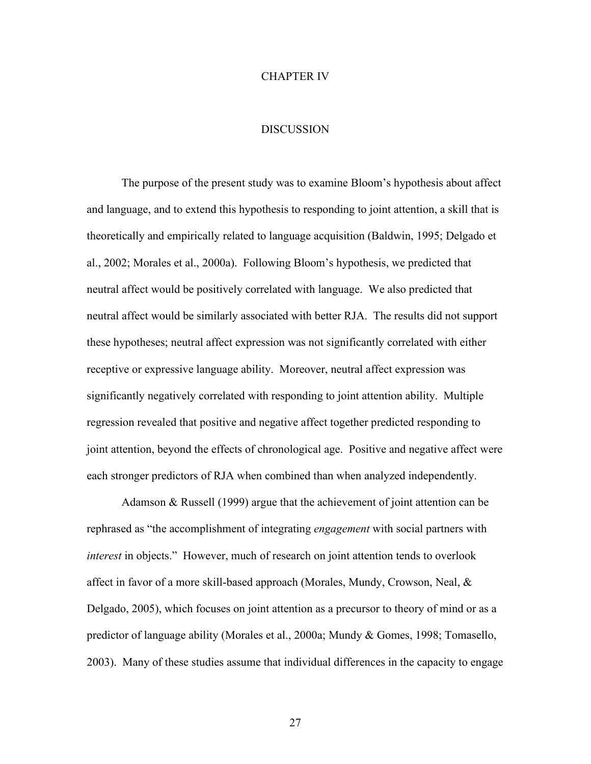#### CHAPTER IV

## **DISCUSSION**

The purpose of the present study was to examine Bloom's hypothesis about affect and language, and to extend this hypothesis to responding to joint attention, a skill that is theoretically and empirically related to language acquisition (Baldwin, 1995; Delgado et al., 2002; Morales et al., 2000a). Following Bloom's hypothesis, we predicted that neutral affect would be positively correlated with language. We also predicted that neutral affect would be similarly associated with better RJA. The results did not support these hypotheses; neutral affect expression was not significantly correlated with either receptive or expressive language ability. Moreover, neutral affect expression was significantly negatively correlated with responding to joint attention ability. Multiple regression revealed that positive and negative affect together predicted responding to joint attention, beyond the effects of chronological age. Positive and negative affect were each stronger predictors of RJA when combined than when analyzed independently.

Adamson & Russell (1999) argue that the achievement of joint attention can be rephrased as "the accomplishment of integrating *engagement* with social partners with *interest* in objects." However, much of research on joint attention tends to overlook affect in favor of a more skill-based approach (Morales, Mundy, Crowson, Neal, & Delgado, 2005), which focuses on joint attention as a precursor to theory of mind or as a predictor of language ability (Morales et al., 2000a; Mundy & Gomes, 1998; Tomasello, 2003). Many of these studies assume that individual differences in the capacity to engage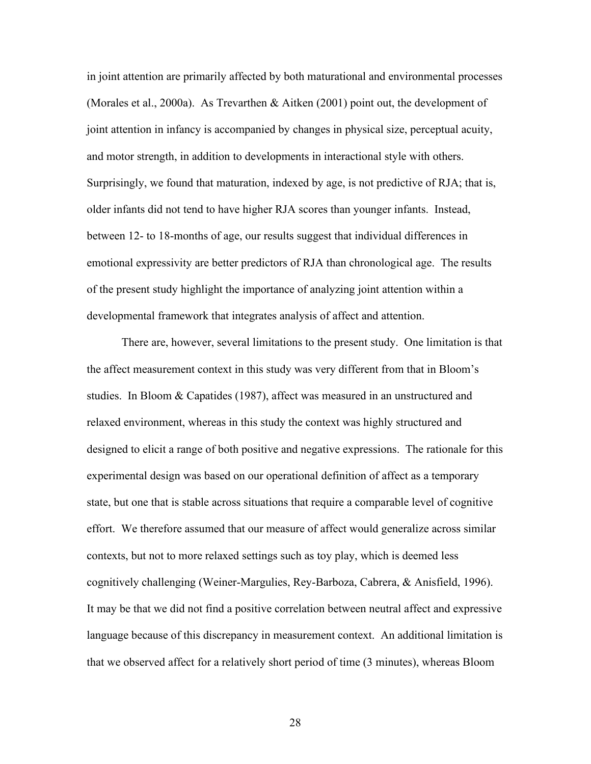in joint attention are primarily affected by both maturational and environmental processes (Morales et al., 2000a). As Trevarthen & Aitken (2001) point out, the development of joint attention in infancy is accompanied by changes in physical size, perceptual acuity, and motor strength, in addition to developments in interactional style with others. Surprisingly, we found that maturation, indexed by age, is not predictive of RJA; that is, older infants did not tend to have higher RJA scores than younger infants. Instead, between 12- to 18-months of age, our results suggest that individual differences in emotional expressivity are better predictors of RJA than chronological age. The results of the present study highlight the importance of analyzing joint attention within a developmental framework that integrates analysis of affect and attention.

There are, however, several limitations to the present study. One limitation is that the affect measurement context in this study was very different from that in Bloom's studies. In Bloom & Capatides (1987), affect was measured in an unstructured and relaxed environment, whereas in this study the context was highly structured and designed to elicit a range of both positive and negative expressions. The rationale for this experimental design was based on our operational definition of affect as a temporary state, but one that is stable across situations that require a comparable level of cognitive effort. We therefore assumed that our measure of affect would generalize across similar contexts, but not to more relaxed settings such as toy play, which is deemed less cognitively challenging (Weiner-Margulies, Rey-Barboza, Cabrera, & Anisfield, 1996). It may be that we did not find a positive correlation between neutral affect and expressive language because of this discrepancy in measurement context. An additional limitation is that we observed affect for a relatively short period of time (3 minutes), whereas Bloom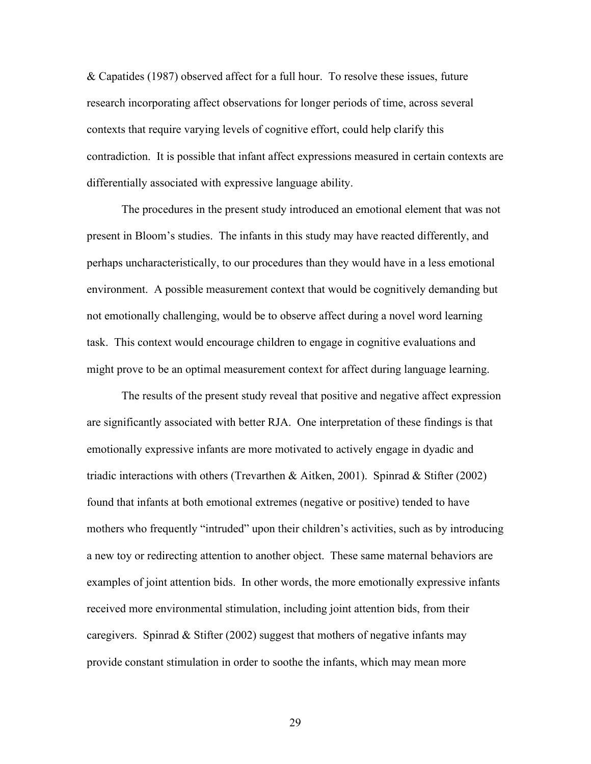& Capatides (1987) observed affect for a full hour. To resolve these issues, future research incorporating affect observations for longer periods of time, across several contexts that require varying levels of cognitive effort, could help clarify this contradiction. It is possible that infant affect expressions measured in certain contexts are differentially associated with expressive language ability.

The procedures in the present study introduced an emotional element that was not present in Bloom's studies. The infants in this study may have reacted differently, and perhaps uncharacteristically, to our procedures than they would have in a less emotional environment. A possible measurement context that would be cognitively demanding but not emotionally challenging, would be to observe affect during a novel word learning task. This context would encourage children to engage in cognitive evaluations and might prove to be an optimal measurement context for affect during language learning.

The results of the present study reveal that positive and negative affect expression are significantly associated with better RJA. One interpretation of these findings is that emotionally expressive infants are more motivated to actively engage in dyadic and triadic interactions with others (Trevarthen & Aitken, 2001). Spinrad & Stifter (2002) found that infants at both emotional extremes (negative or positive) tended to have mothers who frequently "intruded" upon their children's activities, such as by introducing a new toy or redirecting attention to another object. These same maternal behaviors are examples of joint attention bids. In other words, the more emotionally expressive infants received more environmental stimulation, including joint attention bids, from their caregivers. Spinrad  $\&$  Stifter (2002) suggest that mothers of negative infants may provide constant stimulation in order to soothe the infants, which may mean more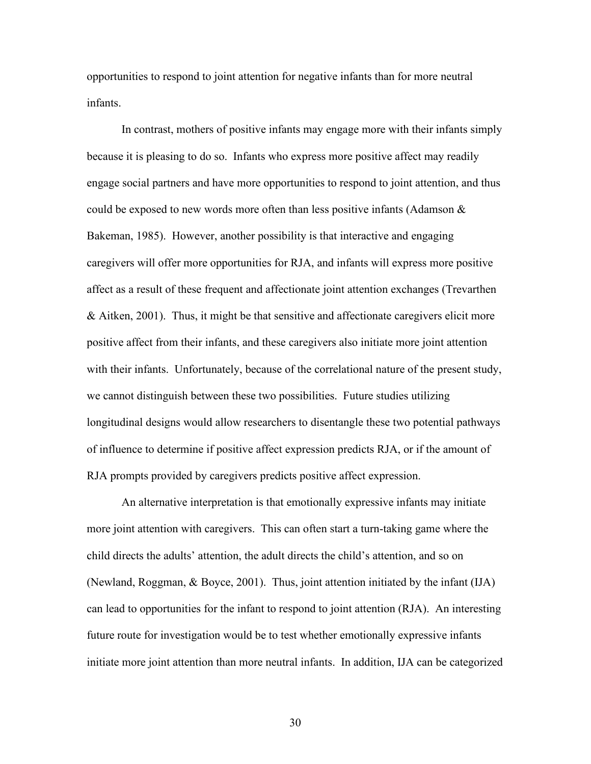opportunities to respond to joint attention for negative infants than for more neutral infants.

In contrast, mothers of positive infants may engage more with their infants simply because it is pleasing to do so. Infants who express more positive affect may readily engage social partners and have more opportunities to respond to joint attention, and thus could be exposed to new words more often than less positive infants (Adamson  $\&$ Bakeman, 1985). However, another possibility is that interactive and engaging caregivers will offer more opportunities for RJA, and infants will express more positive affect as a result of these frequent and affectionate joint attention exchanges (Trevarthen & Aitken, 2001). Thus, it might be that sensitive and affectionate caregivers elicit more positive affect from their infants, and these caregivers also initiate more joint attention with their infants. Unfortunately, because of the correlational nature of the present study, we cannot distinguish between these two possibilities. Future studies utilizing longitudinal designs would allow researchers to disentangle these two potential pathways of influence to determine if positive affect expression predicts RJA, or if the amount of RJA prompts provided by caregivers predicts positive affect expression.

An alternative interpretation is that emotionally expressive infants may initiate more joint attention with caregivers. This can often start a turn-taking game where the child directs the adults' attention, the adult directs the child's attention, and so on (Newland, Roggman, & Boyce, 2001). Thus, joint attention initiated by the infant (IJA) can lead to opportunities for the infant to respond to joint attention (RJA). An interesting future route for investigation would be to test whether emotionally expressive infants initiate more joint attention than more neutral infants. In addition, IJA can be categorized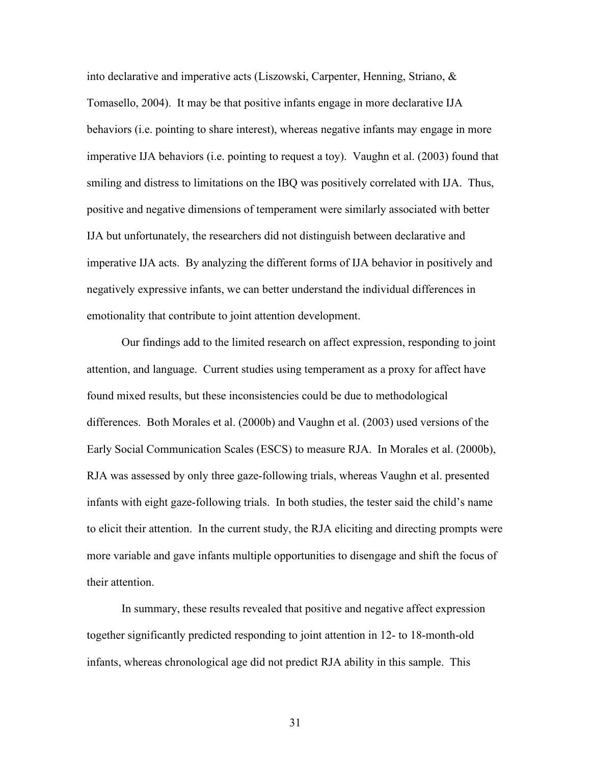into declarative and imperative acts (Liszowski, Carpenter, Henning, Striano, & Tomasello, 2004). It may be that positive infants engage in more declarative IJA behaviors (i.e. pointing to share interest), whereas negative infants may engage in more imperative IJA behaviors (i.e. pointing to request a toy). Vaughn et al. (2003) found that smiling and distress to limitations on the IBQ was positively correlated with IJA. Thus, positive and negative dimensions of temperament were similarly associated with better IJA but unfortunately, the researchers did not distinguish between declarative and imperative IJA acts. By analyzing the different forms of IJA behavior in positively and negatively expressive infants, we can better understand the individual differences in emotionality that contribute to joint attention development.

Our findings add to the limited research on affect expression, responding to joint attention, and language. Current studies using temperament as a proxy for affect have found mixed results, but these inconsistencies could be due to methodological differences. Both Morales et al. (2000b) and Vaughn et al. (2003) used versions of the Early Social Communication Scales (ESCS) to measure RJA. In Morales et al. (2000b), RJA was assessed by only three gaze-following trials, whereas Vaughn et al. presented infants with eight gaze-following trials. In both studies, the tester said the child's name to elicit their attention. In the current study, the RJA eliciting and directing prompts were more variable and gave infants multiple opportunities to disengage and shift the focus of their attention.

In summary, these results revealed that positive and negative affect expression together significantly predicted responding to joint attention in 12- to 18-month-old infants, whereas chronological age did not predict RJA ability in this sample. This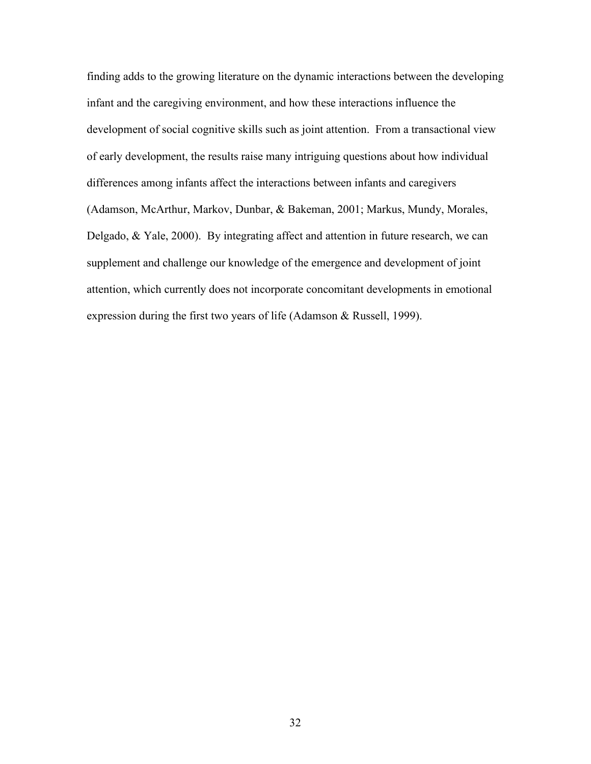finding adds to the growing literature on the dynamic interactions between the developing infant and the caregiving environment, and how these interactions influence the development of social cognitive skills such as joint attention. From a transactional view of early development, the results raise many intriguing questions about how individual differences among infants affect the interactions between infants and caregivers (Adamson, McArthur, Markov, Dunbar, & Bakeman, 2001; Markus, Mundy, Morales, Delgado, & Yale, 2000). By integrating affect and attention in future research, we can supplement and challenge our knowledge of the emergence and development of joint attention, which currently does not incorporate concomitant developments in emotional expression during the first two years of life (Adamson & Russell, 1999).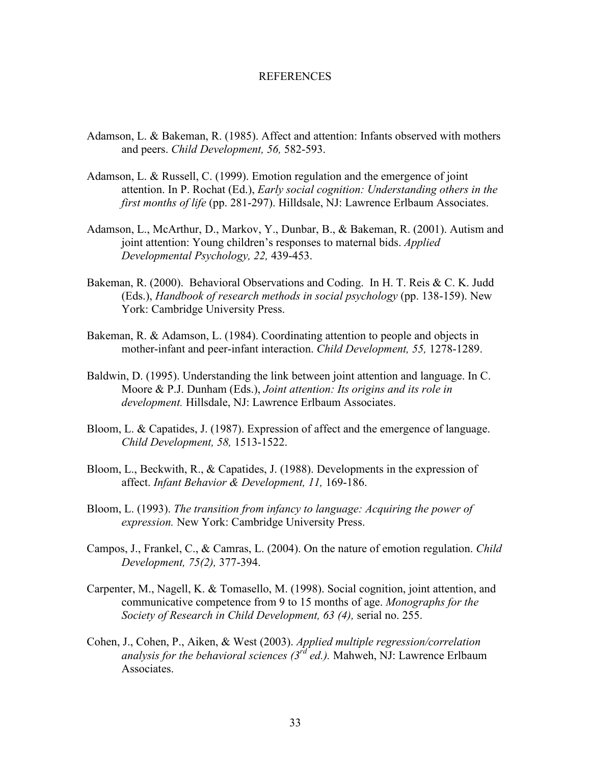#### REFERENCES

- Adamson, L. & Bakeman, R. (1985). Affect and attention: Infants observed with mothers and peers. *Child Development, 56,* 582-593.
- Adamson, L. & Russell, C. (1999). Emotion regulation and the emergence of joint attention. In P. Rochat (Ed.), *Early social cognition: Understanding others in the first months of life* (pp. 281-297). Hilldsale, NJ: Lawrence Erlbaum Associates.
- Adamson, L., McArthur, D., Markov, Y., Dunbar, B., & Bakeman, R. (2001). Autism and joint attention: Young children's responses to maternal bids. *Applied Developmental Psychology, 22,* 439-453.
- Bakeman, R. (2000). Behavioral Observations and Coding. In H. T. Reis & C. K. Judd (Eds.), *Handbook of research methods in social psychology* (pp. 138-159). New York: Cambridge University Press.
- Bakeman, R. & Adamson, L. (1984). Coordinating attention to people and objects in mother-infant and peer-infant interaction. *Child Development, 55,* 1278-1289.
- Baldwin, D. (1995). Understanding the link between joint attention and language. In C. Moore & P.J. Dunham (Eds.), *Joint attention: Its origins and its role in development.* Hillsdale, NJ: Lawrence Erlbaum Associates.
- Bloom, L. & Capatides, J. (1987). Expression of affect and the emergence of language. *Child Development, 58,* 1513-1522.
- Bloom, L., Beckwith, R., & Capatides, J. (1988). Developments in the expression of affect. *Infant Behavior & Development, 11,* 169-186.
- Bloom, L. (1993). *The transition from infancy to language: Acquiring the power of expression.* New York: Cambridge University Press.
- Campos, J., Frankel, C., & Camras, L. (2004). On the nature of emotion regulation. *Child Development, 75(2),* 377-394.
- Carpenter, M., Nagell, K. & Tomasello, M. (1998). Social cognition, joint attention, and communicative competence from 9 to 15 months of age. *Monographs for the Society of Research in Child Development, 63 (4),* serial no. 255.
- Cohen, J., Cohen, P., Aiken, & West (2003). *Applied multiple regression/correlation*  analysis for the behavioral sciences (3<sup>rd</sup> ed.). Mahweh, NJ: Lawrence Erlbaum Associates.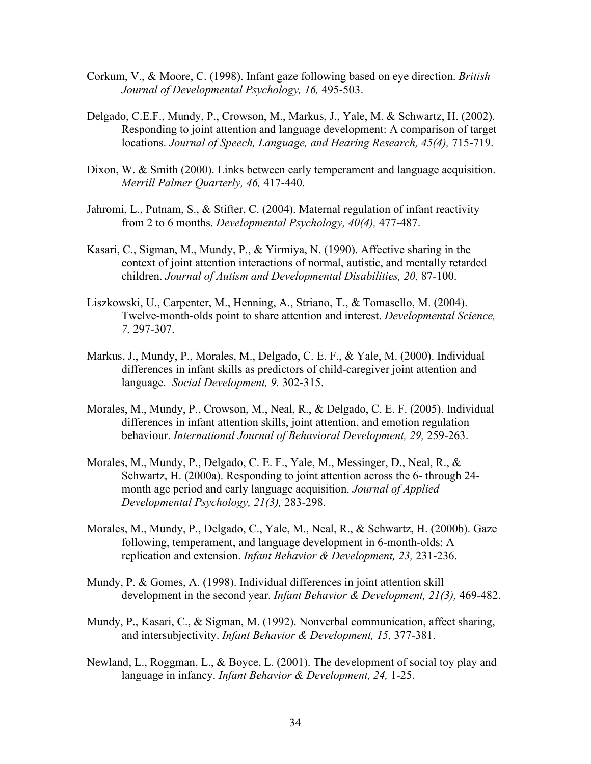- Corkum, V., & Moore, C. (1998). Infant gaze following based on eye direction. *British Journal of Developmental Psychology, 16,* 495-503.
- Delgado, C.E.F., Mundy, P., Crowson, M., Markus, J., Yale, M. & Schwartz, H. (2002). Responding to joint attention and language development: A comparison of target locations. *Journal of Speech, Language, and Hearing Research, 45(4),* 715-719.
- Dixon, W. & Smith (2000). Links between early temperament and language acquisition. *Merrill Palmer Quarterly, 46,* 417-440.
- Jahromi, L., Putnam, S., & Stifter, C. (2004). Maternal regulation of infant reactivity from 2 to 6 months. *Developmental Psychology, 40(4),* 477-487.
- Kasari, C., Sigman, M., Mundy, P., & Yirmiya, N. (1990). Affective sharing in the context of joint attention interactions of normal, autistic, and mentally retarded children. *Journal of Autism and Developmental Disabilities, 20,* 87-100.
- Liszkowski, U., Carpenter, M., Henning, A., Striano, T., & Tomasello, M. (2004). Twelve-month-olds point to share attention and interest. *Developmental Science, 7,* 297-307.
- Markus, J., Mundy, P., Morales, M., Delgado, C. E. F., & Yale, M. (2000). Individual differences in infant skills as predictors of child-caregiver joint attention and language. *Social Development, 9.* 302-315.
- Morales, M., Mundy, P., Crowson, M., Neal, R., & Delgado, C. E. F. (2005). Individual differences in infant attention skills, joint attention, and emotion regulation behaviour. *International Journal of Behavioral Development, 29,* 259-263.
- Morales, M., Mundy, P., Delgado, C. E. F., Yale, M., Messinger, D., Neal, R., & Schwartz, H. (2000a). Responding to joint attention across the 6- through 24 month age period and early language acquisition. *Journal of Applied Developmental Psychology, 21(3),* 283-298.
- Morales, M., Mundy, P., Delgado, C., Yale, M., Neal, R., & Schwartz, H. (2000b). Gaze following, temperament, and language development in 6-month-olds: A replication and extension. *Infant Behavior & Development, 23,* 231-236.
- Mundy, P. & Gomes, A. (1998). Individual differences in joint attention skill development in the second year. *Infant Behavior & Development, 21(3),* 469-482.
- Mundy, P., Kasari, C., & Sigman, M. (1992). Nonverbal communication, affect sharing, and intersubjectivity. *Infant Behavior & Development, 15,* 377-381.
- Newland, L., Roggman, L., & Boyce, L. (2001). The development of social toy play and language in infancy. *Infant Behavior & Development, 24,* 1-25.